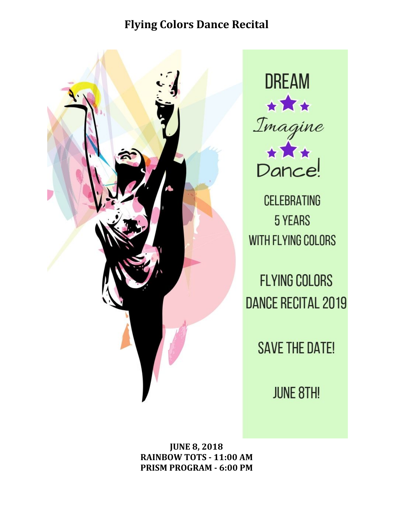

**DREAM** ★★★ Imagine<br>Dance!

**CELEBRATING 5 YEARS** WITH FLYING COLORS

**FLYING COLORS DANCE RECITAL 2019** 

**SAVE THE DATE!** 

**JUNE 8TH!** 

**JUNE 8, 2018 RAINBOW TOTS - 11:00 AM PRISM PROGRAM - 6:00 PM**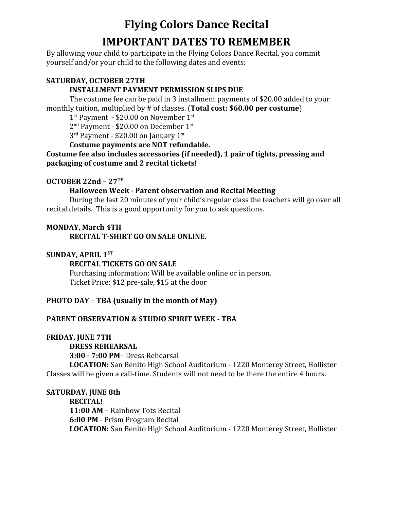# **Flying Colors Dance Recital IMPORTANT DATES TO REMEMBER**

By allowing your child to participate in the Flying Colors Dance Recital, you commit yourself and/or your child to the following dates and events:

### **SATURDAY, OCTOBER 27TH**

### **INSTALLMENT PAYMENT PERMISSION SLIPS DUE**

The costume fee can be paid in 3 installment payments of \$20.00 added to your monthly tuition, multiplied by # of classes. (**Total cost: \$60.00 per costume**)

1<sup>st</sup> Payment - \$20.00 on November 1<sup>st</sup>

2<sup>nd</sup> Payment - \$20.00 on December 1st

3<sup>rd</sup> Payment - \$20.00 on January 1st

### **Costume payments are NOT refundable.**

### **Costume fee also includes accessories (if needed), 1 pair of tights, pressing and packaging of costume and 2 recital tickets!**

## **OCTOBER 22nd – 27 TH**

### **Halloween Week - Parent observation and Recital Meeting**

During the last 20 minutes of your child's regular class the teachers will go over all recital details. This is a good opportunity for you to ask questions.

### **MONDAY, March 4TH**

**RECITAL T-SHIRT GO ON SALE ONLINE.**

## **SUNDAY, APRIL 1 ST**

### **RECITAL TICKETS GO ON SALE**

Purchasing information: Will be available online or in person. Ticket Price: \$12 pre-sale, \$15 at the door

## **PHOTO DAY – TBA (usually in the month of May)**

## **PARENT OBSERVATION & STUDIO SPIRIT WEEK - TBA**

### **FRIDAY, JUNE 7TH**

**DRESS REHEARSAL 3:00 - 7:00 PM–** Dress Rehearsal **LOCATION:** San Benito High School Auditorium - 1220 Monterey Street, Hollister Classes will be given a call-time. Students will not need to be there the entire 4 hours.

## **SATURDAY, JUNE 8th**

**RECITAL! 11:00 AM –** Rainbow Tots Recital **6:00 PM** - Prism Program Recital **LOCATION:** San Benito High School Auditorium - 1220 Monterey Street, Hollister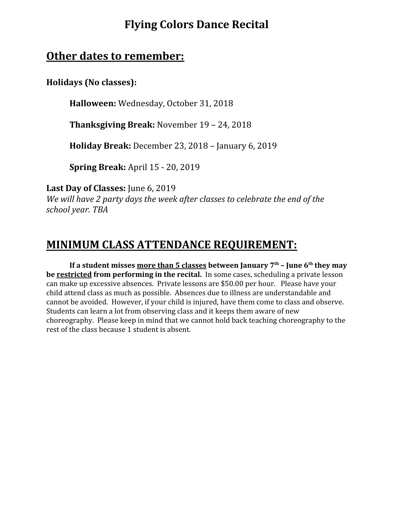## **Other dates to remember:**

**Holidays (No classes):**

**Halloween:** Wednesday, October 31, 2018

**Thanksgiving Break:** November 19 – 24, 2018

**Holiday Break:** December 23, 2018 – January 6, 2019

**Spring Break:** April 15 - 20, 2019

**Last Day of Classes:** June 6, 2019

*We will have 2 party days the week after classes to celebrate the end of the school year. TBA*

# **MINIMUM CLASS ATTENDANCE REQUIREMENT:**

**If a student misses more than 5 classes between January 7 th – June 6 th they may be restricted from performing in the recital.** In some cases, scheduling a private lesson can make up excessive absences. Private lessons are \$50.00 per hour. Please have your child attend class as much as possible. Absences due to illness are understandable and cannot be avoided. However, if your child is injured, have them come to class and observe. Students can learn a lot from observing class and it keeps them aware of new choreography. Please keep in mind that we cannot hold back teaching choreography to the rest of the class because 1 student is absent.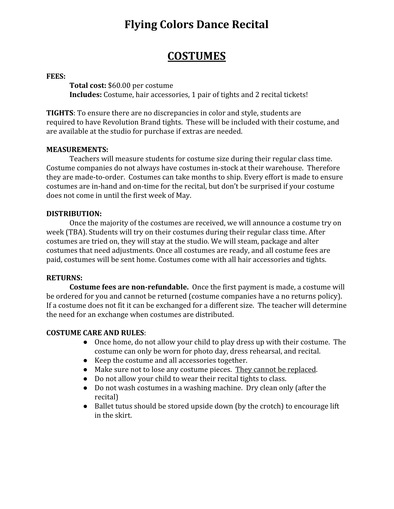# **COSTUMES**

#### **FEES:**

**Total cost:** \$60.00 per costume **Includes:** Costume, hair accessories, 1 pair of tights and 2 recital tickets!

**TIGHTS**: To ensure there are no discrepancies in color and style, students are required to have Revolution Brand tights. These will be included with their costume, and are available at the studio for purchase if extras are needed.

#### **MEASUREMENTS:**

Teachers will measure students for costume size during their regular class time. Costume companies do not always have costumes in-stock at their warehouse. Therefore they are made-to-order. Costumes can take months to ship. Every effort is made to ensure costumes are in-hand and on-time for the recital, but don't be surprised if your costume does not come in until the first week of May.

### **DISTRIBUTION:**

Once the majority of the costumes are received, we will announce a costume try on week (TBA). Students will try on their costumes during their regular class time. After costumes are tried on, they will stay at the studio. We will steam, package and alter costumes that need adjustments. Once all costumes are ready, and all costume fees are paid, costumes will be sent home. Costumes come with all hair accessories and tights.

### **RETURNS:**

**Costume fees are non-refundable.** Once the first payment is made, a costume will be ordered for you and cannot be returned (costume companies have a no returns policy). If a costume does not fit it can be exchanged for a different size. The teacher will determine the need for an exchange when costumes are distributed.

### **COSTUME CARE AND RULES**:

- Once home, do not allow your child to play dress up with their costume. The costume can only be worn for photo day, dress rehearsal, and recital.
- Keep the costume and all accessories together.
- Make sure not to lose any costume pieces. They cannot be replaced.
- Do not allow your child to wear their recital tights to class.
- Do not wash costumes in a washing machine. Dry clean only (after the recital)
- Ballet tutus should be stored upside down (by the crotch) to encourage lift in the skirt.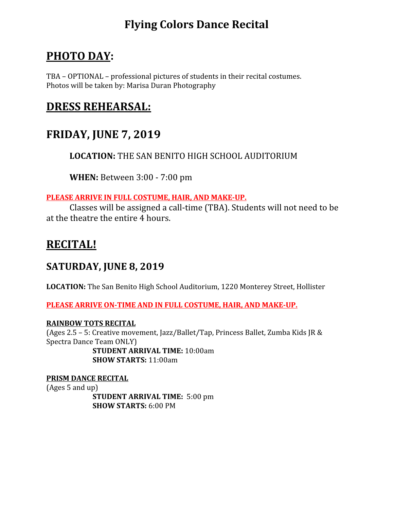# **PHOTO DAY:**

TBA – OPTIONAL – professional pictures of students in their recital costumes. Photos will be taken by: Marisa Duran Photography

# **DRESS REHEARSAL:**

# **FRIDAY, JUNE 7, 2019**

**LOCATION:** THE SAN BENITO HIGH SCHOOL AUDITORIUM

**WHEN:** Between 3:00 - 7:00 pm

## **PLEASE ARRIVE IN FULL COSTUME, HAIR, AND MAKE-UP.**

Classes will be assigned a call-time (TBA). Students will not need to be at the theatre the entire 4 hours.

# **RECITAL!**

## **SATURDAY, JUNE 8, 2019**

**LOCATION:** The San Benito High School Auditorium, 1220 Monterey Street, Hollister

**PLEASE ARRIVE ON-TIME AND IN FULL COSTUME, HAIR, AND MAKE-UP.**

## **RAINBOW TOTS RECITAL**

(Ages 2.5 – 5: Creative movement, Jazz/Ballet/Tap, Princess Ballet, Zumba Kids JR & Spectra Dance Team ONLY)

**STUDENT ARRIVAL TIME:** 10:00am **SHOW STARTS:** 11:00am

## **PRISM DANCE RECITAL**

(Ages 5 and up)

**STUDENT ARRIVAL TIME:** 5:00 pm **SHOW STARTS:** 6:00 PM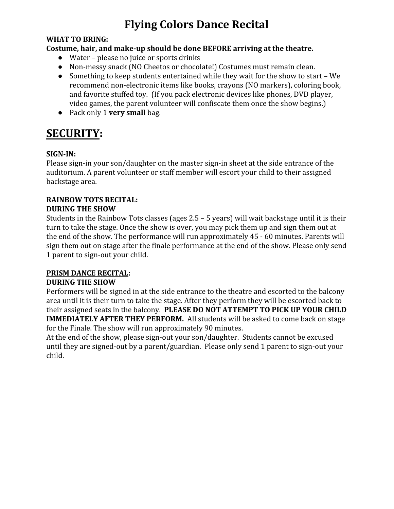### **WHAT TO BRING:**

## **Costume, hair, and make-up should be done BEFORE arriving at the theatre.**

- Water please no juice or sports drinks
- Non-messy snack (NO Cheetos or chocolate!) Costumes must remain clean.
- Something to keep students entertained while they wait for the show to start We recommend non-electronic items like books, crayons (NO markers), coloring book, and favorite stuffed toy. (If you pack electronic devices like phones, DVD player, video games, the parent volunteer will confiscate them once the show begins.)
- Pack only 1 **very small** bag.

# **SECURITY:**

## **SIGN-IN:**

Please sign-in your son/daughter on the master sign-in sheet at the side entrance of the auditorium. A parent volunteer or staff member will escort your child to their assigned backstage area.

### **RAINBOW TOTS RECITAL: DURING THE SHOW**

Students in the Rainbow Tots classes (ages 2.5 – 5 years) will wait backstage until it is their turn to take the stage. Once the show is over, you may pick them up and sign them out at the end of the show. The performance will run approximately 45 - 60 minutes. Parents will sign them out on stage after the finale performance at the end of the show. Please only send 1 parent to sign-out your child.

## **PRISM DANCE RECITAL:**

## **DURING THE SHOW**

Performers will be signed in at the side entrance to the theatre and escorted to the balcony area until it is their turn to take the stage. After they perform they will be escorted back to their assigned seats in the balcony. **PLEASE DO NOT ATTEMPT TO PICK UP YOUR CHILD IMMEDIATELY AFTER THEY PERFORM.** All students will be asked to come back on stage for the Finale. The show will run approximately 90 minutes.

At the end of the show, please sign-out your son/daughter. Students cannot be excused until they are signed-out by a parent/guardian. Please only send 1 parent to sign-out your child.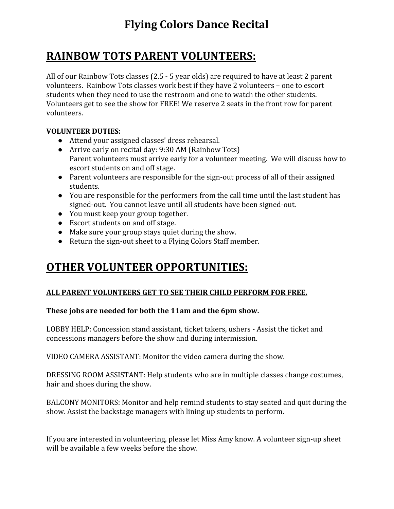# **RAINBOW TOTS PARENT VOLUNTEERS:**

All of our Rainbow Tots classes (2.5 - 5 year olds) are required to have at least 2 parent volunteers. Rainbow Tots classes work best if they have 2 volunteers – one to escort students when they need to use the restroom and one to watch the other students. Volunteers get to see the show for FREE! We reserve 2 seats in the front row for parent volunteers.

## **VOLUNTEER DUTIES:**

- Attend your assigned classes' dress rehearsal.
- Arrive early on recital day: 9:30 AM (Rainbow Tots) Parent volunteers must arrive early for a volunteer meeting. We will discuss how to escort students on and off stage.
- Parent volunteers are responsible for the sign-out process of all of their assigned students.
- You are responsible for the performers from the call time until the last student has signed-out. You cannot leave until all students have been signed-out.
- You must keep your group together.
- Escort students on and off stage.
- Make sure your group stays quiet during the show.
- Return the sign-out sheet to a Flying Colors Staff member.

# **OTHER VOLUNTEER OPPORTUNITIES:**

## **ALL PARENT VOLUNTEERS GET TO SEE THEIR CHILD PERFORM FOR FREE.**

## **These jobs are needed for both the 11am and the 6pm show.**

LOBBY HELP: Concession stand assistant, ticket takers, ushers - Assist the ticket and concessions managers before the show and during intermission.

VIDEO CAMERA ASSISTANT: Monitor the video camera during the show.

DRESSING ROOM ASSISTANT: Help students who are in multiple classes change costumes, hair and shoes during the show.

BALCONY MONITORS: Monitor and help remind students to stay seated and quit during the show. Assist the backstage managers with lining up students to perform.

If you are interested in volunteering, please let Miss Amy know. A volunteer sign-up sheet will be available a few weeks before the show.